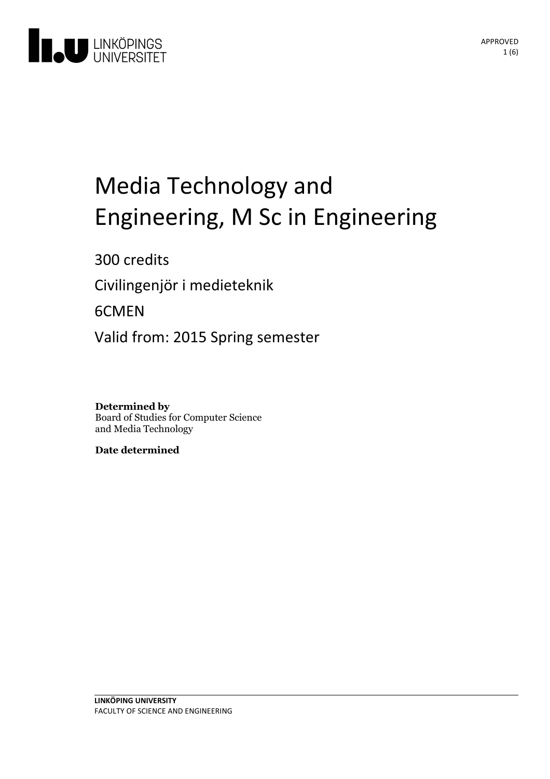

# Media Technology and Engineering, M Sc in Engineering

300 credits

Civilingenjör i medieteknik

6CMEN

Valid from: 2015 Spring semester

**Determined by** Board of Studies for Computer Science and Media Technology

**Date determined**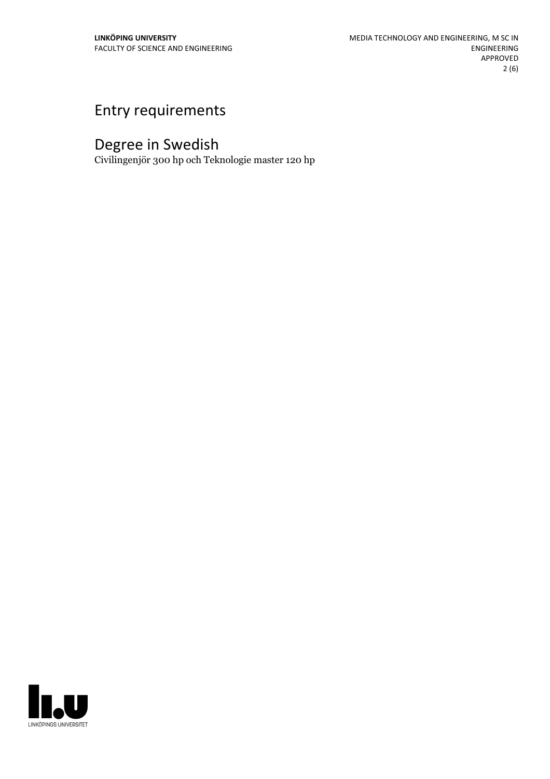## Entry requirements

## Degree in Swedish

Civilingenjör 300 hp och Teknologie master 120 hp

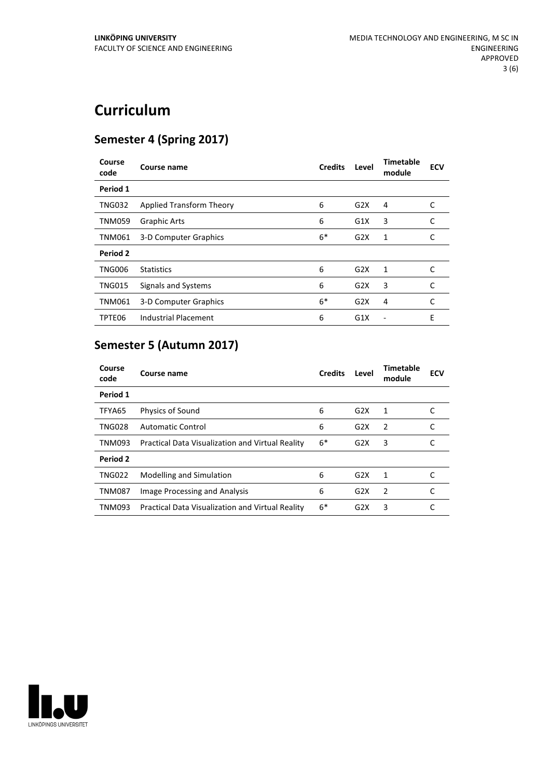## **Curriculum**

#### **Semester 4 (Spring 2017)**

| Course<br>code | Course name                 | <b>Credits</b> | Level | <b>Timetable</b><br>module | <b>ECV</b> |
|----------------|-----------------------------|----------------|-------|----------------------------|------------|
| Period 1       |                             |                |       |                            |            |
| <b>TNG032</b>  | Applied Transform Theory    | 6              | G2X   | 4                          | C          |
| <b>TNM059</b>  | <b>Graphic Arts</b>         | 6              | G1X   | 3                          | C          |
| <b>TNM061</b>  | 3-D Computer Graphics       | $6*$           | G2X   | 1                          | C          |
| Period 2       |                             |                |       |                            |            |
| <b>TNG006</b>  | <b>Statistics</b>           | 6              | G2X   | 1                          | C          |
| <b>TNG015</b>  | Signals and Systems         | 6              | G2X   | 3                          | C          |
| <b>TNM061</b>  | 3-D Computer Graphics       | $6*$           | G2X   | 4                          | C          |
| TPTE06         | <b>Industrial Placement</b> | 6              | G1X   |                            | E          |

### **Semester 5 (Autumn 2017)**

| Course<br>code | Course name                                      | <b>Credits</b> | Level | <b>Timetable</b><br>module | <b>ECV</b> |
|----------------|--------------------------------------------------|----------------|-------|----------------------------|------------|
| Period 1       |                                                  |                |       |                            |            |
| TFYA65         | <b>Physics of Sound</b>                          | 6              | G2X   | 1                          |            |
| <b>TNG028</b>  | <b>Automatic Control</b>                         | 6              | G2X   | 2                          |            |
| <b>TNM093</b>  | Practical Data Visualization and Virtual Reality | $6*$           | G2X   | 3                          |            |
| Period 2       |                                                  |                |       |                            |            |
| <b>TNG022</b>  | Modelling and Simulation                         | 6              | G2X   | 1                          |            |
| <b>TNM087</b>  | Image Processing and Analysis                    | 6              | G2X   | 2                          |            |
| TNM093         | Practical Data Visualization and Virtual Reality | $6*$           | G2X   | 3                          |            |

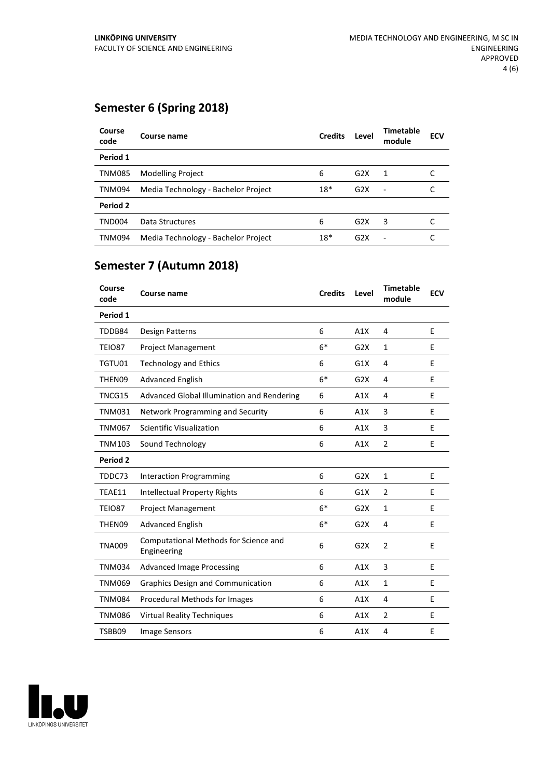#### **Semester 6 (Spring 2018)**

| Course<br>code | Course name                         | <b>Credits</b> | Level | <b>Timetable</b><br>module | <b>ECV</b> |
|----------------|-------------------------------------|----------------|-------|----------------------------|------------|
| Period 1       |                                     |                |       |                            |            |
| <b>TNM085</b>  | <b>Modelling Project</b>            | 6              | G2X   | 1                          |            |
| <b>TNM094</b>  | Media Technology - Bachelor Project | $18*$          | G2X   | $\overline{\phantom{a}}$   |            |
| Period 2       |                                     |                |       |                            |            |
| <b>TND004</b>  | Data Structures                     | 6              | G2X   | 3                          |            |
| <b>TNM094</b>  | Media Technology - Bachelor Project | $18*$          | G2X   | ٠                          |            |

#### **Semester 7 (Autumn 2018)**

| Course<br>code | <b>Course name</b>                                   | <b>Credits</b> | Level | <b>Timetable</b><br>module | <b>ECV</b> |
|----------------|------------------------------------------------------|----------------|-------|----------------------------|------------|
| Period 1       |                                                      |                |       |                            |            |
| TDDB84         | Design Patterns                                      | 6              | A1X   | 4                          | E          |
| TEIO87         | <b>Project Management</b>                            | $6*$           | G2X   | $\mathbf{1}$               | E          |
| TGTU01         | <b>Technology and Ethics</b>                         | 6              | G1X   | 4                          | E          |
| THEN09         | <b>Advanced English</b>                              | $6*$           | G2X   | 4                          | E          |
| TNCG15         | Advanced Global Illumination and Rendering           | 6              | A1X   | 4                          | E          |
| <b>TNM031</b>  | Network Programming and Security                     | 6              | A1X   | 3                          | E          |
| <b>TNM067</b>  | <b>Scientific Visualization</b>                      | 6              | A1X   | 3                          | E          |
| <b>TNM103</b>  | Sound Technology                                     | 6              | A1X   | $\overline{2}$             | E          |
| Period 2       |                                                      |                |       |                            |            |
| TDDC73         | <b>Interaction Programming</b>                       | 6              | G2X   | $\mathbf{1}$               | E          |
| TEAE11         | <b>Intellectual Property Rights</b>                  | 6              | G1X   | $\overline{2}$             | Е          |
| <b>TEIO87</b>  | <b>Project Management</b>                            | $6*$           | G2X   | $\mathbf{1}$               | E          |
| THEN09         | <b>Advanced English</b>                              | $6*$           | G2X   | 4                          | Е          |
| <b>TNA009</b>  | Computational Methods for Science and<br>Engineering | 6              | G2X   | $\overline{2}$             | E          |
| <b>TNM034</b>  | <b>Advanced Image Processing</b>                     | 6              | A1X   | 3                          | Е          |
| <b>TNM069</b>  | <b>Graphics Design and Communication</b>             | 6              | A1X   | $\mathbf{1}$               | E          |
| <b>TNM084</b>  | <b>Procedural Methods for Images</b>                 | 6              | A1X   | 4                          | Е          |
| <b>TNM086</b>  | <b>Virtual Reality Techniques</b>                    | 6              | A1X   | $\overline{2}$             | E          |
| TSBB09         | <b>Image Sensors</b>                                 | 6              | A1X   | 4                          | Е          |

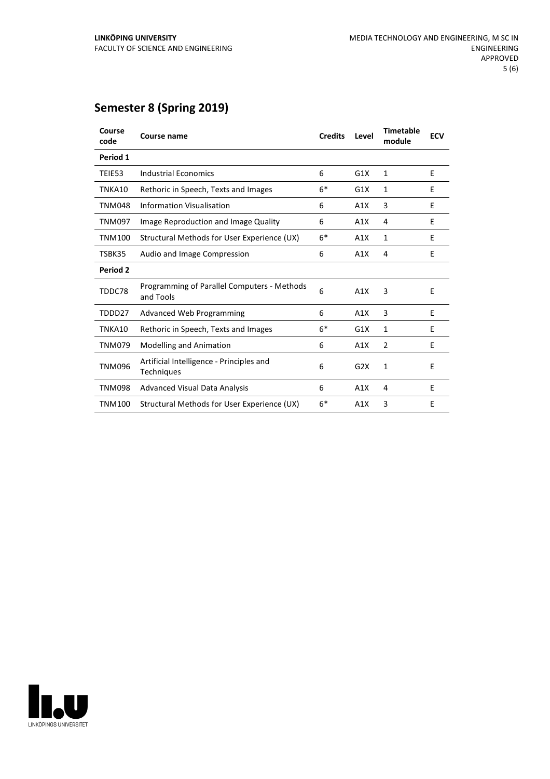#### **Semester 8 (Spring 2019)**

| Course<br>code  | Course name                                                   | <b>Credits</b> | Level | <b>Timetable</b><br>module | <b>ECV</b> |
|-----------------|---------------------------------------------------------------|----------------|-------|----------------------------|------------|
| Period 1        |                                                               |                |       |                            |            |
| TEIE53          | <b>Industrial Economics</b>                                   | 6              | G1X   | $\mathbf{1}$               | E          |
| TNKA10          | Rethoric in Speech, Texts and Images                          | $6*$           | G1X   | 1                          | E          |
| <b>TNM048</b>   | <b>Information Visualisation</b>                              | 6              | A1X   | 3                          | F          |
| <b>TNM097</b>   | Image Reproduction and Image Quality                          | 6              | A1X   | 4                          | E          |
| <b>TNM100</b>   | Structural Methods for User Experience (UX)                   | $6*$           | A1X   | 1                          | E          |
| TSBK35          | Audio and Image Compression                                   | 6              | A1X   | 4                          | Ε          |
| <b>Period 2</b> |                                                               |                |       |                            |            |
| TDDC78          | Programming of Parallel Computers - Methods<br>and Tools      | 6              | A1X   | 3                          | E          |
| TDDD27          | <b>Advanced Web Programming</b>                               | 6              | A1X   | 3                          | F          |
| TNKA10          | Rethoric in Speech, Texts and Images                          | $6*$           | G1X   | $\mathbf{1}$               | E          |
| <b>TNM079</b>   | <b>Modelling and Animation</b>                                | 6              | A1X   | $\overline{2}$             | E          |
| <b>TNM096</b>   | Artificial Intelligence - Principles and<br><b>Techniques</b> | 6              | G2X   | 1                          | E          |
| <b>TNM098</b>   | <b>Advanced Visual Data Analysis</b>                          | 6              | A1X   | 4                          | E          |
| <b>TNM100</b>   | Structural Methods for User Experience (UX)                   | $6*$           | A1X   | 3                          | F          |